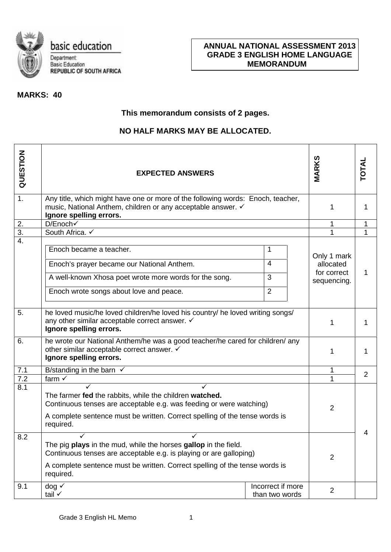

Basic Education<br>REPUBLIC OF SOUTH AFRICA

## **MARKS: 40**

## **This memorandum consists of 2 pages.**

## **NO HALF MARKS MAY BE ALLOCATED.**

| QUESTION         | <b>EXPECTED ANSWERS</b>                                                                                                                                                                                                    |                |                                     | MARKS                      | <b>TOTAL</b>   |  |
|------------------|----------------------------------------------------------------------------------------------------------------------------------------------------------------------------------------------------------------------------|----------------|-------------------------------------|----------------------------|----------------|--|
| 1.               | Any title, which might have one or more of the following words: Enoch, teacher,<br>music, National Anthem, children or any acceptable answer. ✓<br>Ignore spelling errors.                                                 | 1              | 1                                   |                            |                |  |
| 2.               | $D/Enoch \checkmark$                                                                                                                                                                                                       |                |                                     | 1                          | 1              |  |
| $\overline{3}$ . | South Africa. √                                                                                                                                                                                                            |                |                                     | 1                          | 1              |  |
| $\overline{4}$ . | Enoch became a teacher.                                                                                                                                                                                                    | 1              |                                     | Only 1 mark                |                |  |
|                  | Enoch's prayer became our National Anthem.                                                                                                                                                                                 | $\overline{4}$ |                                     | allocated                  |                |  |
|                  | A well-known Xhosa poet wrote more words for the song.                                                                                                                                                                     | 3              |                                     | for correct<br>sequencing. | 1              |  |
|                  | Enoch wrote songs about love and peace.                                                                                                                                                                                    | $\overline{2}$ |                                     |                            |                |  |
| 5.               | he loved music/he loved children/he loved his country/ he loved writing songs/<br>any other similar acceptable correct answer. ✓<br>Ignore spelling errors.                                                                |                |                                     | 1                          | 1              |  |
| 6.               | he wrote our National Anthem/he was a good teacher/he cared for children/ any<br>other similar acceptable correct answer. ✓<br>Ignore spelling errors.                                                                     |                |                                     | 1                          | 1              |  |
| 7.1              | B/standing in the barn $\checkmark$                                                                                                                                                                                        |                |                                     | 1                          | $\overline{2}$ |  |
| 7.2              | farm $\checkmark$                                                                                                                                                                                                          |                |                                     |                            |                |  |
| 8.1              | The farmer fed the rabbits, while the children watched.<br>Continuous tenses are acceptable e.g. was feeding or were watching)<br>A complete sentence must be written. Correct spelling of the tense words is<br>required. |                |                                     | $\overline{2}$             |                |  |
| 8.2              | ✓<br>✓<br>The pig plays in the mud, while the horses gallop in the field.                                                                                                                                                  |                |                                     |                            | 4              |  |
|                  | Continuous tenses are acceptable e.g. is playing or are galloping)                                                                                                                                                         |                |                                     | $\overline{2}$             |                |  |
|                  | A complete sentence must be written. Correct spelling of the tense words is<br>required.                                                                                                                                   |                |                                     |                            |                |  |
| 9.1              | $dog \checkmark$<br>tail $\checkmark$                                                                                                                                                                                      |                | Incorrect if more<br>than two words | 2                          |                |  |